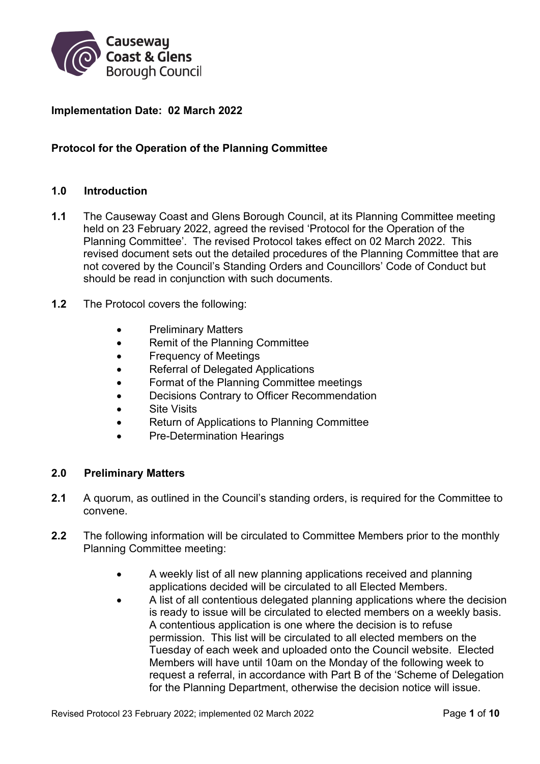

## **Implementation Date: 02 March 2022**

## **Protocol for the Operation of the Planning Committee**

#### **1.0 Introduction**

- **1.1** The Causeway Coast and Glens Borough Council, at its Planning Committee meeting held on 23 February 2022, agreed the revised 'Protocol for the Operation of the Planning Committee'. The revised Protocol takes effect on 02 March 2022. This revised document sets out the detailed procedures of the Planning Committee that are not covered by the Council's Standing Orders and Councillors' Code of Conduct but should be read in conjunction with such documents.
- **1.2** The Protocol covers the following:
	- Preliminary Matters
	- Remit of the Planning Committee
	- Frequency of Meetings
	- Referral of Delegated Applications
	- Format of the Planning Committee meetings
	- Decisions Contrary to Officer Recommendation
	- **•** Site Visits
	- Return of Applications to Planning Committee
	- Pre-Determination Hearings

#### **2.0 Preliminary Matters**

- **2.1** A quorum, as outlined in the Council's standing orders, is required for the Committee to convene.
- **2.2** The following information will be circulated to Committee Members prior to the monthly Planning Committee meeting:
	- A weekly list of all new planning applications received and planning applications decided will be circulated to all Elected Members.
	- A list of all contentious delegated planning applications where the decision is ready to issue will be circulated to elected members on a weekly basis. A contentious application is one where the decision is to refuse permission. This list will be circulated to all elected members on the Tuesday of each week and uploaded onto the Council website. Elected Members will have until 10am on the Monday of the following week to request a referral, in accordance with Part B of the 'Scheme of Delegation for the Planning Department, otherwise the decision notice will issue.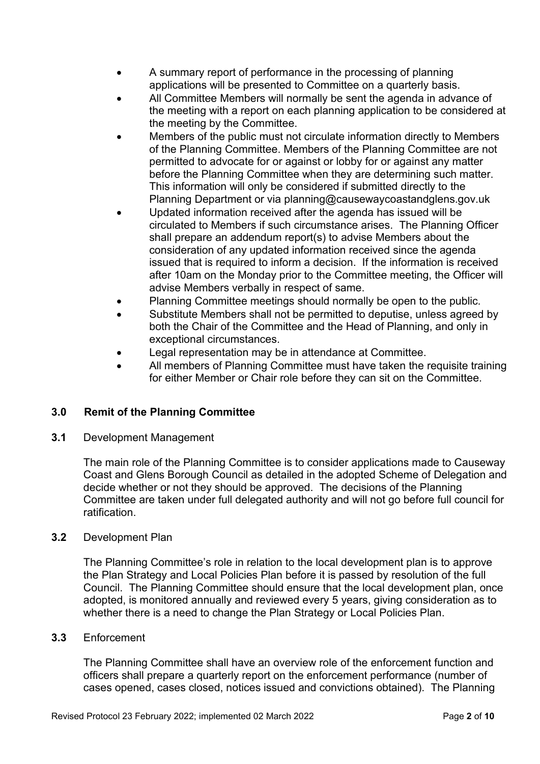- A summary report of performance in the processing of planning applications will be presented to Committee on a quarterly basis.
- All Committee Members will normally be sent the agenda in advance of the meeting with a report on each planning application to be considered at the meeting by the Committee.
- Members of the public must not circulate information directly to Members of the Planning Committee. Members of the Planning Committee are not permitted to advocate for or against or lobby for or against any matter before the Planning Committee when they are determining such matter. This information will only be considered if submitted directly to the Planning Department or via planning@causewaycoastandglens.gov.uk
- Updated information received after the agenda has issued will be circulated to Members if such circumstance arises. The Planning Officer shall prepare an addendum report(s) to advise Members about the consideration of any updated information received since the agenda issued that is required to inform a decision. If the information is received after 10am on the Monday prior to the Committee meeting, the Officer will advise Members verbally in respect of same.
- Planning Committee meetings should normally be open to the public.
- Substitute Members shall not be permitted to deputise, unless agreed by both the Chair of the Committee and the Head of Planning, and only in exceptional circumstances.
- Legal representation may be in attendance at Committee.
- All members of Planning Committee must have taken the requisite training for either Member or Chair role before they can sit on the Committee.

## **3.0 Remit of the Planning Committee**

**3.1** Development Management

The main role of the Planning Committee is to consider applications made to Causeway Coast and Glens Borough Council as detailed in the adopted Scheme of Delegation and decide whether or not they should be approved. The decisions of the Planning Committee are taken under full delegated authority and will not go before full council for ratification.

#### **3.2** Development Plan

The Planning Committee's role in relation to the local development plan is to approve the Plan Strategy and Local Policies Plan before it is passed by resolution of the full Council. The Planning Committee should ensure that the local development plan, once adopted, is monitored annually and reviewed every 5 years, giving consideration as to whether there is a need to change the Plan Strategy or Local Policies Plan.

#### **3.3** Enforcement

The Planning Committee shall have an overview role of the enforcement function and officers shall prepare a quarterly report on the enforcement performance (number of cases opened, cases closed, notices issued and convictions obtained). The Planning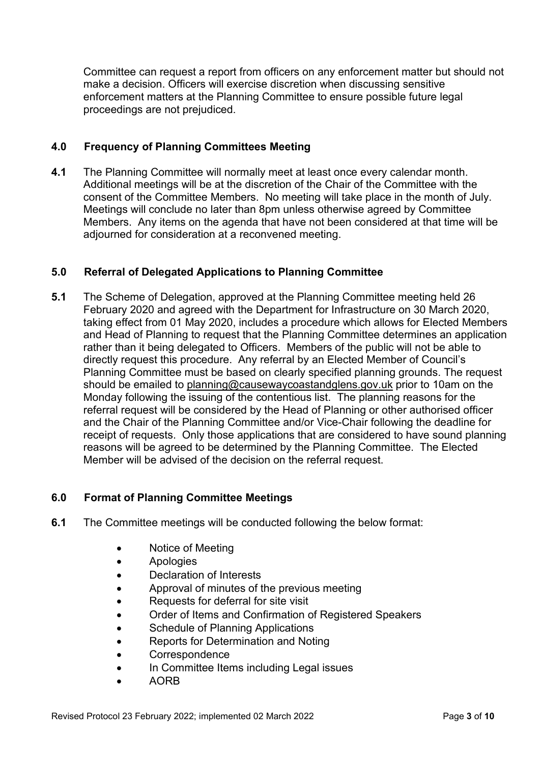Committee can request a report from officers on any enforcement matter but should not make a decision. Officers will exercise discretion when discussing sensitive enforcement matters at the Planning Committee to ensure possible future legal proceedings are not prejudiced.

## **4.0 Frequency of Planning Committees Meeting**

**4.1** The Planning Committee will normally meet at least once every calendar month. Additional meetings will be at the discretion of the Chair of the Committee with the consent of the Committee Members. No meeting will take place in the month of July. Meetings will conclude no later than 8pm unless otherwise agreed by Committee Members. Any items on the agenda that have not been considered at that time will be adjourned for consideration at a reconvened meeting.

## **5.0 Referral of Delegated Applications to Planning Committee**

**5.1** The Scheme of Delegation, approved at the Planning Committee meeting held 26 February 2020 and agreed with the Department for Infrastructure on 30 March 2020, taking effect from 01 May 2020, includes a procedure which allows for Elected Members and Head of Planning to request that the Planning Committee determines an application rather than it being delegated to Officers. Members of the public will not be able to directly request this procedure. Any referral by an Elected Member of Council's Planning Committee must be based on clearly specified planning grounds. The request should be emailed to planning@causewaycoastandglens.gov.uk prior to 10am on the Monday following the issuing of the contentious list. The planning reasons for the referral request will be considered by the Head of Planning or other authorised officer and the Chair of the Planning Committee and/or Vice-Chair following the deadline for receipt of requests. Only those applications that are considered to have sound planning reasons will be agreed to be determined by the Planning Committee. The Elected Member will be advised of the decision on the referral request.

## **6.0 Format of Planning Committee Meetings**

- **6.1** The Committee meetings will be conducted following the below format:
	- Notice of Meeting
	- Apologies
	- Declaration of Interests
	- Approval of minutes of the previous meeting
	- Requests for deferral for site visit
	- Order of Items and Confirmation of Registered Speakers
	- Schedule of Planning Applications
	- Reports for Determination and Noting
	- **Correspondence**
	- In Committee Items including Legal issues
	- AORB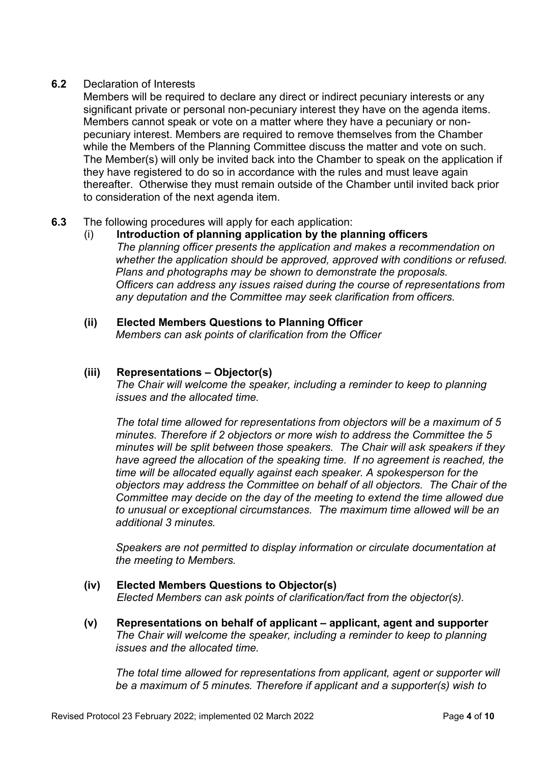#### **6.2** Declaration of Interests

Members will be required to declare any direct or indirect pecuniary interests or any significant private or personal non-pecuniary interest they have on the agenda items. Members cannot speak or vote on a matter where they have a pecuniary or nonpecuniary interest. Members are required to remove themselves from the Chamber while the Members of the Planning Committee discuss the matter and vote on such. The Member(s) will only be invited back into the Chamber to speak on the application if they have registered to do so in accordance with the rules and must leave again thereafter. Otherwise they must remain outside of the Chamber until invited back prior to consideration of the next agenda item.

## **6.3** The following procedures will apply for each application:

- (i) **Introduction of planning application by the planning officers** *The planning officer presents the application and makes a recommendation on whether the application should be approved, approved with conditions or refused. Plans and photographs may be shown to demonstrate the proposals. Officers can address any issues raised during the course of representations from any deputation and the Committee may seek clarification from officers.*
- **(ii) Elected Members Questions to Planning Officer**  *Members can ask points of clarification from the Officer*

## **(iii) Representations – Objector(s)**

*The Chair will welcome the speaker, including a reminder to keep to planning issues and the allocated time.* 

*The total time allowed for representations from objectors will be a maximum of 5 minutes. Therefore if 2 objectors or more wish to address the Committee the 5 minutes will be split between those speakers. The Chair will ask speakers if they have agreed the allocation of the speaking time. If no agreement is reached, the time will be allocated equally against each speaker. A spokesperson for the objectors may address the Committee on behalf of all objectors. The Chair of the Committee may decide on the day of the meeting to extend the time allowed due to unusual or exceptional circumstances. The maximum time allowed will be an additional 3 minutes.* 

*Speakers are not permitted to display information or circulate documentation at the meeting to Members.* 

- **(iv) Elected Members Questions to Objector(s)**  *Elected Members can ask points of clarification/fact from the objector(s).*
- **(v) Representations on behalf of applicant applicant, agent and supporter**  *The Chair will welcome the speaker, including a reminder to keep to planning issues and the allocated time.*

*The total time allowed for representations from applicant, agent or supporter will be a maximum of 5 minutes. Therefore if applicant and a supporter(s) wish to*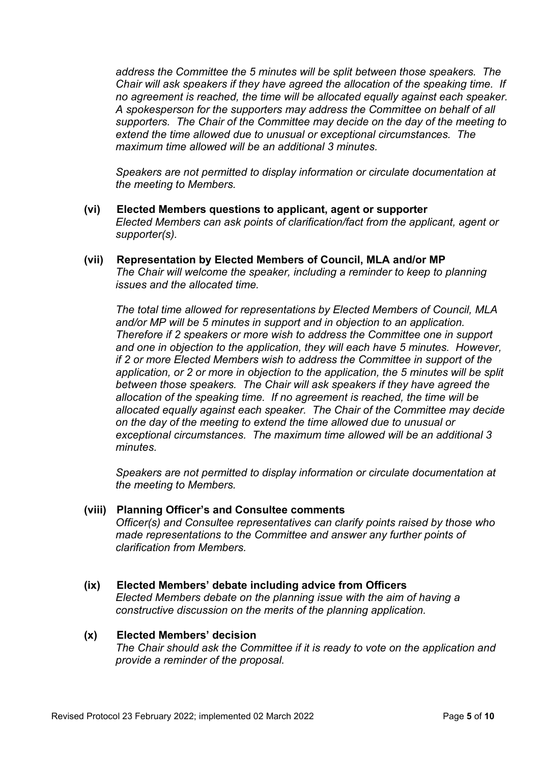*address the Committee the 5 minutes will be split between those speakers. The Chair will ask speakers if they have agreed the allocation of the speaking time. If no agreement is reached, the time will be allocated equally against each speaker. A spokesperson for the supporters may address the Committee on behalf of all supporters. The Chair of the Committee may decide on the day of the meeting to extend the time allowed due to unusual or exceptional circumstances. The maximum time allowed will be an additional 3 minutes.* 

*Speakers are not permitted to display information or circulate documentation at the meeting to Members.* 

- **(vi) Elected Members questions to applicant, agent or supporter**  *Elected Members can ask points of clarification/fact from the applicant, agent or supporter(s).*
- **(vii) Representation by Elected Members of Council, MLA and/or MP**  *The Chair will welcome the speaker, including a reminder to keep to planning issues and the allocated time.*

*The total time allowed for representations by Elected Members of Council, MLA and/or MP will be 5 minutes in support and in objection to an application. Therefore if 2 speakers or more wish to address the Committee one in support and one in objection to the application, they will each have 5 minutes. However, if 2 or more Elected Members wish to address the Committee in support of the application, or 2 or more in objection to the application, the 5 minutes will be split between those speakers. The Chair will ask speakers if they have agreed the allocation of the speaking time. If no agreement is reached, the time will be allocated equally against each speaker. The Chair of the Committee may decide on the day of the meeting to extend the time allowed due to unusual or exceptional circumstances. The maximum time allowed will be an additional 3 minutes.* 

*Speakers are not permitted to display information or circulate documentation at the meeting to Members.* 

#### **(viii) Planning Officer's and Consultee comments**

*Officer(s) and Consultee representatives can clarify points raised by those who made representations to the Committee and answer any further points of clarification from Members.* 

**(ix) Elected Members' debate including advice from Officers** 

*Elected Members debate on the planning issue with the aim of having a constructive discussion on the merits of the planning application.* 

# **(x) Elected Members' decision**

*The Chair should ask the Committee if it is ready to vote on the application and provide a reminder of the proposal.*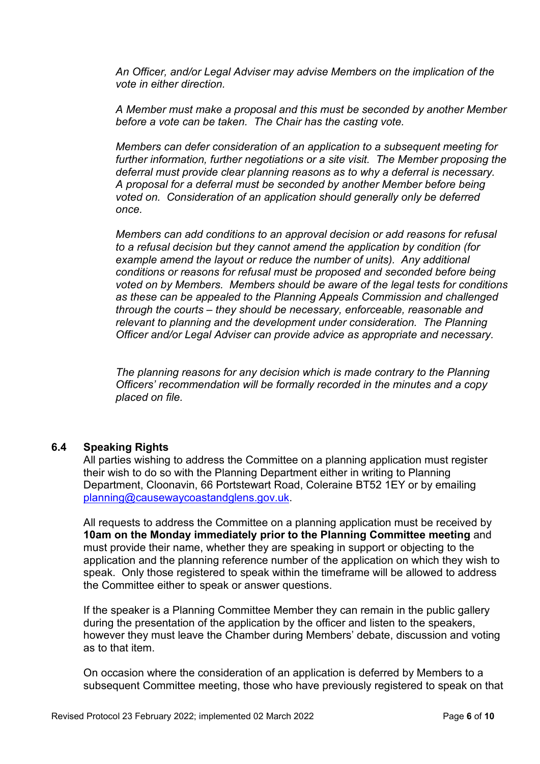*An Officer, and/or Legal Adviser may advise Members on the implication of the vote in either direction.* 

*A Member must make a proposal and this must be seconded by another Member before a vote can be taken. The Chair has the casting vote.* 

*Members can defer consideration of an application to a subsequent meeting for further information, further negotiations or a site visit. The Member proposing the deferral must provide clear planning reasons as to why a deferral is necessary. A proposal for a deferral must be seconded by another Member before being voted on. Consideration of an application should generally only be deferred once.* 

*Members can add conditions to an approval decision or add reasons for refusal to a refusal decision but they cannot amend the application by condition (for example amend the layout or reduce the number of units). Any additional conditions or reasons for refusal must be proposed and seconded before being voted on by Members. Members should be aware of the legal tests for conditions as these can be appealed to the Planning Appeals Commission and challenged through the courts – they should be necessary, enforceable, reasonable and relevant to planning and the development under consideration. The Planning Officer and/or Legal Adviser can provide advice as appropriate and necessary.* 

*The planning reasons for any decision which is made contrary to the Planning Officers' recommendation will be formally recorded in the minutes and a copy placed on file.* 

#### **6.4 Speaking Rights**

All parties wishing to address the Committee on a planning application must register their wish to do so with the Planning Department either in writing to Planning Department, Cloonavin, 66 Portstewart Road, Coleraine BT52 1EY or by emailing planning@causewaycoastandglens.gov.uk.

All requests to address the Committee on a planning application must be received by **10am on the Monday immediately prior to the Planning Committee meeting** and must provide their name, whether they are speaking in support or objecting to the application and the planning reference number of the application on which they wish to speak. Only those registered to speak within the timeframe will be allowed to address the Committee either to speak or answer questions.

If the speaker is a Planning Committee Member they can remain in the public gallery during the presentation of the application by the officer and listen to the speakers, however they must leave the Chamber during Members' debate, discussion and voting as to that item.

On occasion where the consideration of an application is deferred by Members to a subsequent Committee meeting, those who have previously registered to speak on that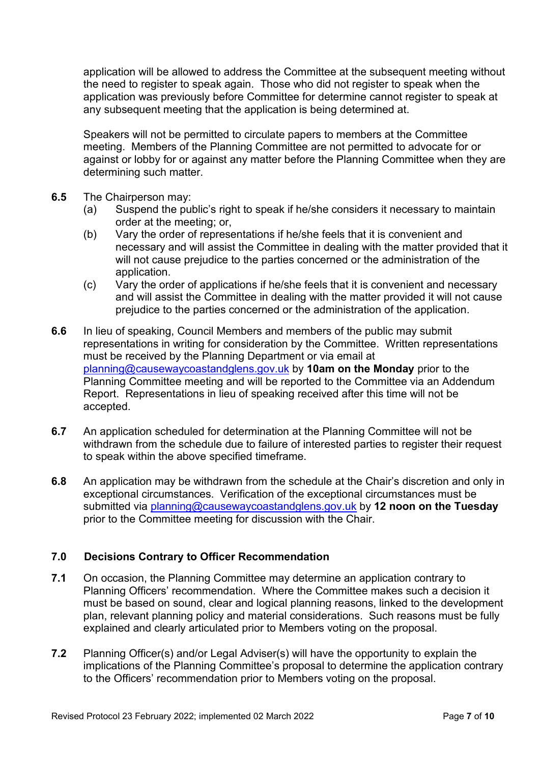application will be allowed to address the Committee at the subsequent meeting without the need to register to speak again. Those who did not register to speak when the application was previously before Committee for determine cannot register to speak at any subsequent meeting that the application is being determined at.

Speakers will not be permitted to circulate papers to members at the Committee meeting. Members of the Planning Committee are not permitted to advocate for or against or lobby for or against any matter before the Planning Committee when they are determining such matter.

- **6.5** The Chairperson may:
	- (a) Suspend the public's right to speak if he/she considers it necessary to maintain order at the meeting; or,
	- (b) Vary the order of representations if he/she feels that it is convenient and necessary and will assist the Committee in dealing with the matter provided that it will not cause prejudice to the parties concerned or the administration of the application.
	- (c) Vary the order of applications if he/she feels that it is convenient and necessary and will assist the Committee in dealing with the matter provided it will not cause prejudice to the parties concerned or the administration of the application.
- **6.6** In lieu of speaking, Council Members and members of the public may submit representations in writing for consideration by the Committee. Written representations must be received by the Planning Department or via email at planning@causewaycoastandglens.gov.uk by **10am on the Monday** prior to the Planning Committee meeting and will be reported to the Committee via an Addendum Report. Representations in lieu of speaking received after this time will not be accepted.
- **6.7** An application scheduled for determination at the Planning Committee will not be withdrawn from the schedule due to failure of interested parties to register their request to speak within the above specified timeframe.
- **6.8** An application may be withdrawn from the schedule at the Chair's discretion and only in exceptional circumstances. Verification of the exceptional circumstances must be submitted via planning@causewaycoastandglens.gov.uk by **12 noon on the Tuesday** prior to the Committee meeting for discussion with the Chair.

# **7.0 Decisions Contrary to Officer Recommendation**

- **7.1** On occasion, the Planning Committee may determine an application contrary to Planning Officers' recommendation. Where the Committee makes such a decision it must be based on sound, clear and logical planning reasons, linked to the development plan, relevant planning policy and material considerations. Such reasons must be fully explained and clearly articulated prior to Members voting on the proposal.
- **7.2** Planning Officer(s) and/or Legal Adviser(s) will have the opportunity to explain the implications of the Planning Committee's proposal to determine the application contrary to the Officers' recommendation prior to Members voting on the proposal.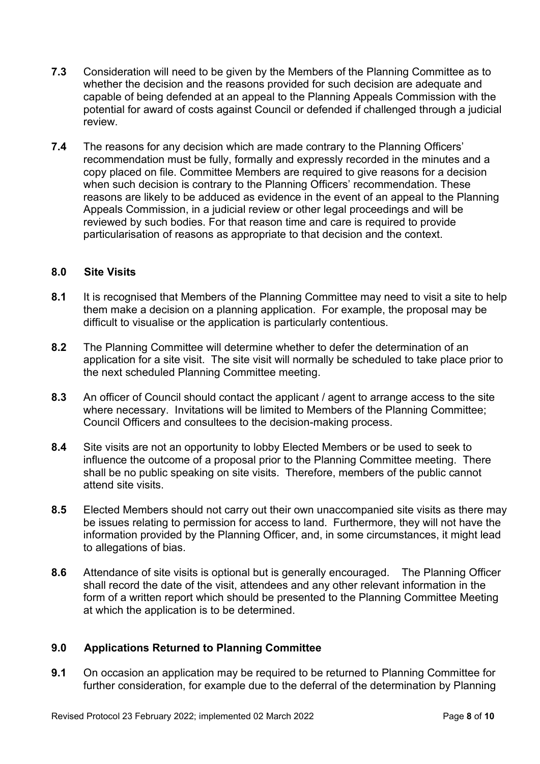- **7.3** Consideration will need to be given by the Members of the Planning Committee as to whether the decision and the reasons provided for such decision are adequate and capable of being defended at an appeal to the Planning Appeals Commission with the potential for award of costs against Council or defended if challenged through a judicial review.
- **7.4** The reasons for any decision which are made contrary to the Planning Officers' recommendation must be fully, formally and expressly recorded in the minutes and a copy placed on file. Committee Members are required to give reasons for a decision when such decision is contrary to the Planning Officers' recommendation. These reasons are likely to be adduced as evidence in the event of an appeal to the Planning Appeals Commission, in a judicial review or other legal proceedings and will be reviewed by such bodies. For that reason time and care is required to provide particularisation of reasons as appropriate to that decision and the context.

#### **8.0 Site Visits**

- **8.1** It is recognised that Members of the Planning Committee may need to visit a site to help them make a decision on a planning application. For example, the proposal may be difficult to visualise or the application is particularly contentious.
- **8.2** The Planning Committee will determine whether to defer the determination of an application for a site visit. The site visit will normally be scheduled to take place prior to the next scheduled Planning Committee meeting.
- **8.3** An officer of Council should contact the applicant / agent to arrange access to the site where necessary. Invitations will be limited to Members of the Planning Committee; Council Officers and consultees to the decision-making process.
- **8.4** Site visits are not an opportunity to lobby Elected Members or be used to seek to influence the outcome of a proposal prior to the Planning Committee meeting. There shall be no public speaking on site visits. Therefore, members of the public cannot attend site visits.
- **8.5** Elected Members should not carry out their own unaccompanied site visits as there may be issues relating to permission for access to land. Furthermore, they will not have the information provided by the Planning Officer, and, in some circumstances, it might lead to allegations of bias.
- **8.6** Attendance of site visits is optional but is generally encouraged. The Planning Officer shall record the date of the visit, attendees and any other relevant information in the form of a written report which should be presented to the Planning Committee Meeting at which the application is to be determined.

## **9.0 Applications Returned to Planning Committee**

**9.1** On occasion an application may be required to be returned to Planning Committee for further consideration, for example due to the deferral of the determination by Planning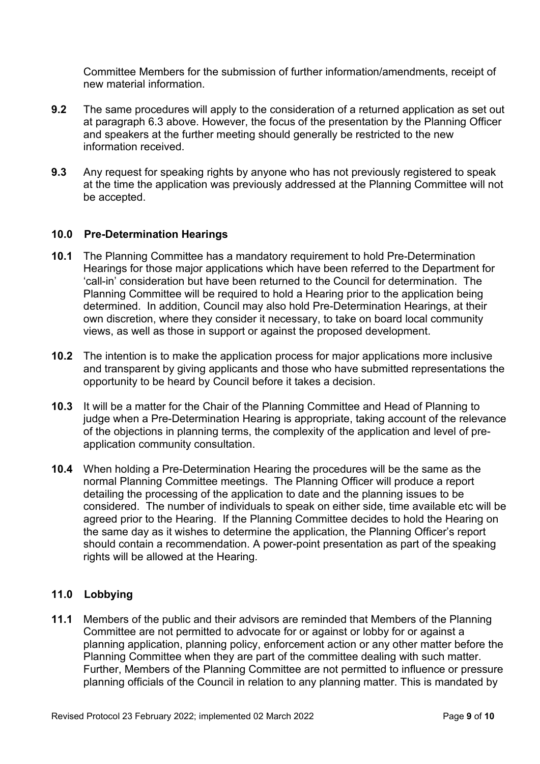Committee Members for the submission of further information/amendments, receipt of new material information.

- **9.2** The same procedures will apply to the consideration of a returned application as set out at paragraph 6.3 above. However, the focus of the presentation by the Planning Officer and speakers at the further meeting should generally be restricted to the new information received.
- **9.3** Any request for speaking rights by anyone who has not previously registered to speak at the time the application was previously addressed at the Planning Committee will not be accepted.

#### **10.0 Pre-Determination Hearings**

- **10.1** The Planning Committee has a mandatory requirement to hold Pre-Determination Hearings for those major applications which have been referred to the Department for 'call-in' consideration but have been returned to the Council for determination. The Planning Committee will be required to hold a Hearing prior to the application being determined. In addition, Council may also hold Pre-Determination Hearings, at their own discretion, where they consider it necessary, to take on board local community views, as well as those in support or against the proposed development.
- **10.2** The intention is to make the application process for major applications more inclusive and transparent by giving applicants and those who have submitted representations the opportunity to be heard by Council before it takes a decision.
- **10.3** It will be a matter for the Chair of the Planning Committee and Head of Planning to judge when a Pre-Determination Hearing is appropriate, taking account of the relevance of the objections in planning terms, the complexity of the application and level of preapplication community consultation.
- **10.4** When holding a Pre-Determination Hearing the procedures will be the same as the normal Planning Committee meetings. The Planning Officer will produce a report detailing the processing of the application to date and the planning issues to be considered. The number of individuals to speak on either side, time available etc will be agreed prior to the Hearing. If the Planning Committee decides to hold the Hearing on the same day as it wishes to determine the application, the Planning Officer's report should contain a recommendation. A power-point presentation as part of the speaking rights will be allowed at the Hearing.

## **11.0 Lobbying**

**11.1** Members of the public and their advisors are reminded that Members of the Planning Committee are not permitted to advocate for or against or lobby for or against a planning application, planning policy, enforcement action or any other matter before the Planning Committee when they are part of the committee dealing with such matter. Further, Members of the Planning Committee are not permitted to influence or pressure planning officials of the Council in relation to any planning matter. This is mandated by